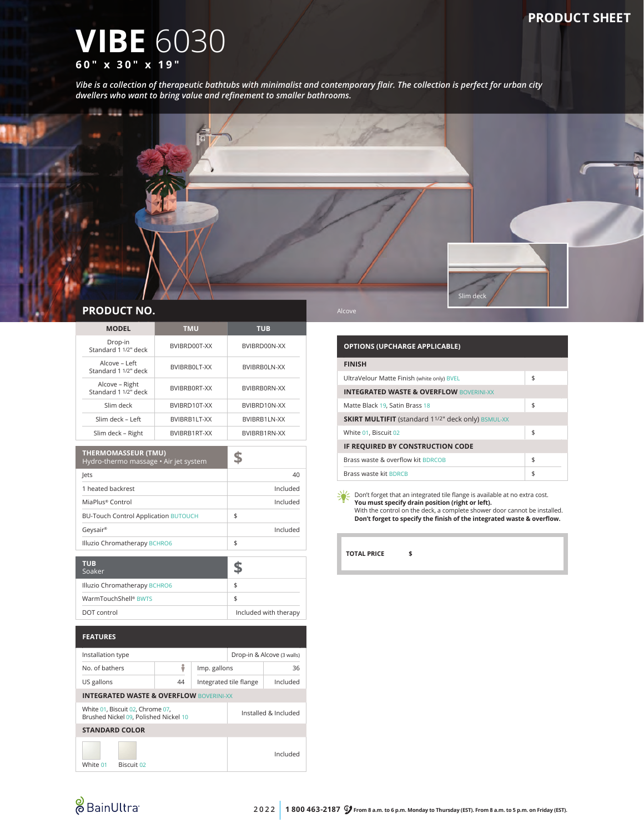### **PRODUCT SHEET**

# **VIBE** 6030 **60" x 30" x 19"**

*Vibe is a collection of therapeutic bathtubs with minimalist and contemporary flair. The collection is perfect for urban city dwellers who want to bring value and refinement to smaller bathrooms.*



| <b>MODEL</b>                           | <b>TMU</b>   | <b>TUB</b>   |
|----------------------------------------|--------------|--------------|
| Drop-in<br>Standard 1 1/2" deck        | BVIBRD00T-XX | BVIBRD00N-XX |
| Alcove - Left<br>Standard 1 1/2" deck  | BVIBRB0LT-XX | BVIBRB0LN-XX |
| Alcove - Right<br>Standard 1 1/2" deck | BVIBRBORT-XX | BVIBRB0RN-XX |
| Slim deck                              | BVIBRD10T-XX | BVIBRD10N-XX |
| Slim deck - Left                       | BVIBRB1LT-XX | BVIBRB1LN-XX |
| Slim deck - Right                      | BVIBRB1RT-XX | BVIBRB1RN-XX |

| <b>THERMOMASSEUR (TMU)</b><br>Hydro-thermo massage • Air jet system |          |
|---------------------------------------------------------------------|----------|
| lets                                                                | 40       |
| 1 heated backrest                                                   | Included |
| MiaPlus® Control                                                    | Included |
| <b>BU-Touch Control Application BUTOUCH</b>                         | \$       |
| Geysair®                                                            | Included |
| Illuzio Chromatherapy BCHRO6                                        | \$       |

| <b>TUB</b><br>Soaker             |                       |
|----------------------------------|-----------------------|
| Illuzio Chromatherapy BCHRO6     | S                     |
| WarmTouchShell <sup>®</sup> BWTS |                       |
| DOT control                      | Included with therapy |

| <b>FEATURES</b>                                                           |            |                            |                        |  |          |
|---------------------------------------------------------------------------|------------|----------------------------|------------------------|--|----------|
| Installation type                                                         |            | Drop-in & Alcove (3 walls) |                        |  |          |
| No. of bathers                                                            |            | ũ                          | Imp. gallons           |  | 36       |
| US gallons                                                                |            | 44                         | Integrated tile flange |  | Included |
| <b>INTEGRATED WASTE &amp; OVERFLOW BOVERINI-XX</b>                        |            |                            |                        |  |          |
| White 01, Biscuit 02, Chrome 07,<br>Brushed Nickel 09, Polished Nickel 10 |            | Installed & Included       |                        |  |          |
| <b>STANDARD COLOR</b>                                                     |            |                            |                        |  |          |
| White 01                                                                  | Biscuit 02 |                            |                        |  | Included |

| <b>OPTIONS (UPCHARGE APPLICABLE)</b>                      |    |  |
|-----------------------------------------------------------|----|--|
| <b>FINISH</b>                                             |    |  |
| UltraVelour Matte Finish (white only) BVEL                | \$ |  |
| <b>INTEGRATED WASTE &amp; OVERFLOW BOVERINI-XX</b>        |    |  |
| Matte Black 19, Satin Brass 18                            | \$ |  |
| <b>SKIRT MULTIFIT</b> (standard 11/2" deck only) BSMUL-XX |    |  |
| White 01, Biscuit 02                                      | \$ |  |
| IF REQUIRED BY CONSTRUCTION CODE                          |    |  |
| Brass waste & overflow kit BDRCOB                         | \$ |  |
| Brass waste kit BDRCB                                     | \$ |  |

 $\frac{1}{2}$  Don't forget that an integrated tile flange is available at no extra cost. **You must specify drain position (right or left).** With the control on the deck, a complete shower door cannot be installed. **Don't forget to specify the finish of the integrated waste & overflow.**

**TOTAL PRICE \$**